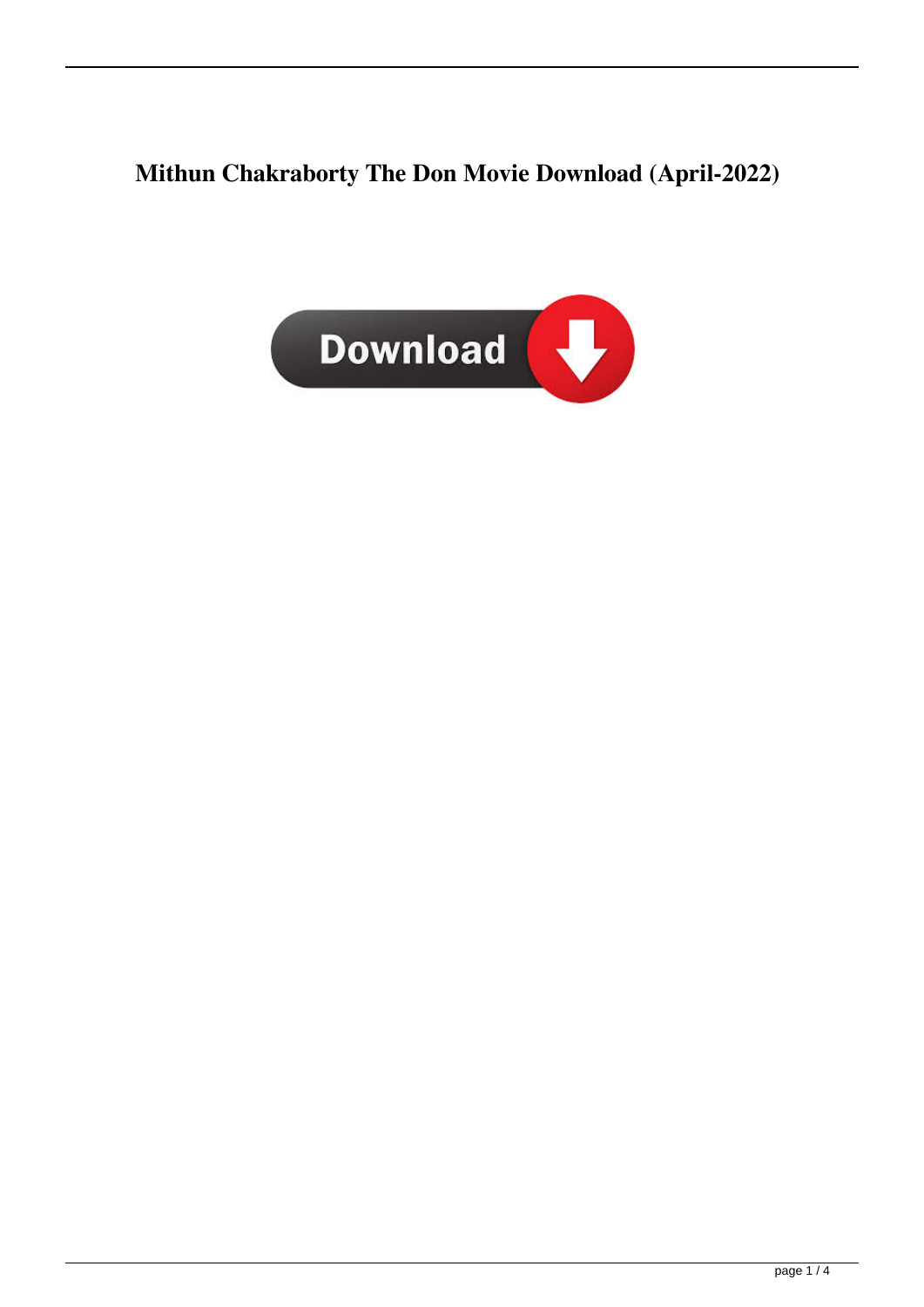## **Mithun Chakraborty The Don Movie Download (April-2022)**

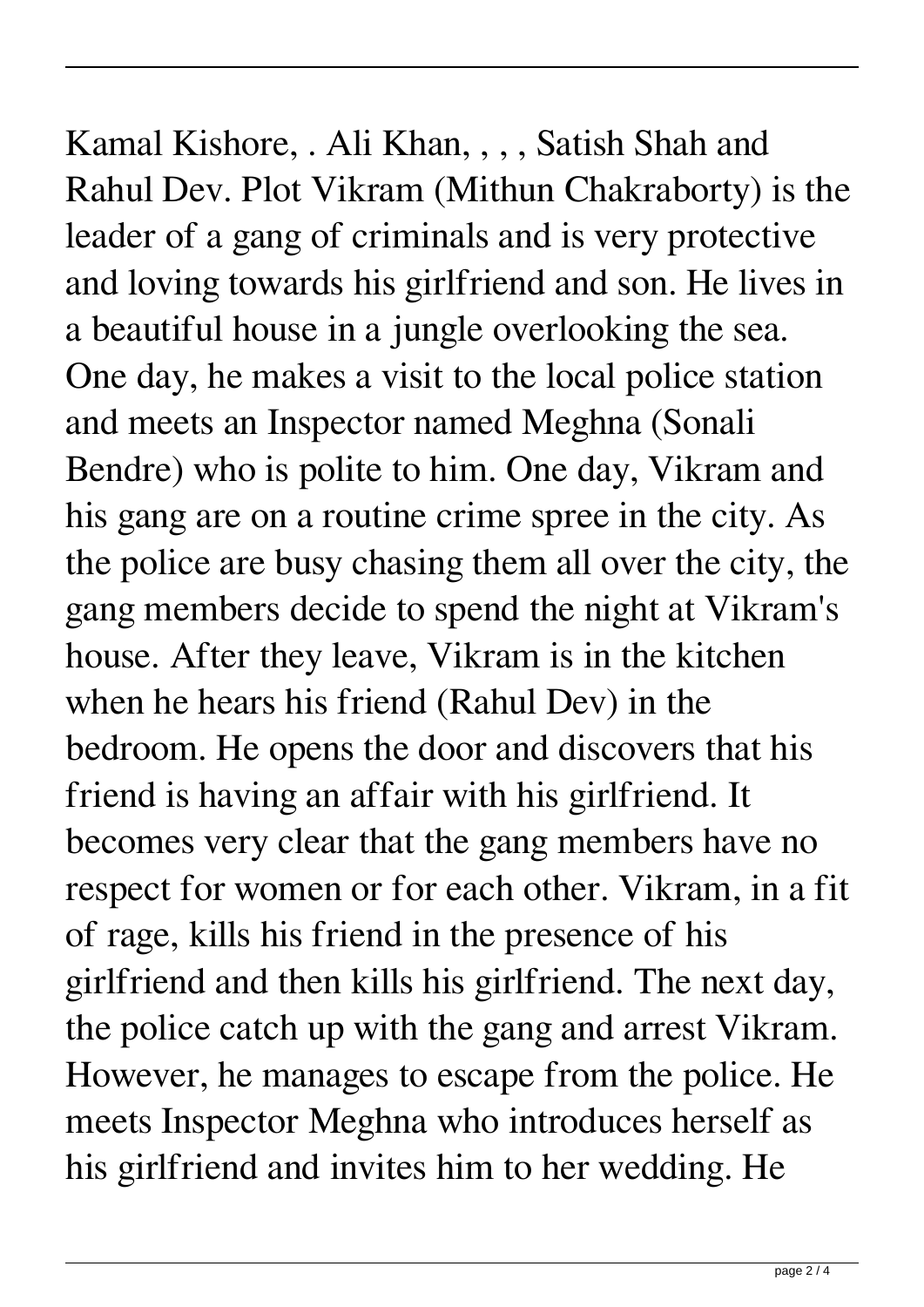Kamal Kishore, . Ali Khan, , , , Satish Shah and Rahul Dev. Plot Vikram (Mithun Chakraborty) is the leader of a gang of criminals and is very protective and loving towards his girlfriend and son. He lives in a beautiful house in a jungle overlooking the sea. One day, he makes a visit to the local police station and meets an Inspector named Meghna (Sonali Bendre) who is polite to him. One day, Vikram and his gang are on a routine crime spree in the city. As the police are busy chasing them all over the city, the gang members decide to spend the night at Vikram's house. After they leave, Vikram is in the kitchen when he hears his friend (Rahul Dev) in the bedroom. He opens the door and discovers that his friend is having an affair with his girlfriend. It becomes very clear that the gang members have no respect for women or for each other. Vikram, in a fit of rage, kills his friend in the presence of his girlfriend and then kills his girlfriend. The next day, the police catch up with the gang and arrest Vikram. However, he manages to escape from the police. He meets Inspector Meghna who introduces herself as his girlfriend and invites him to her wedding. He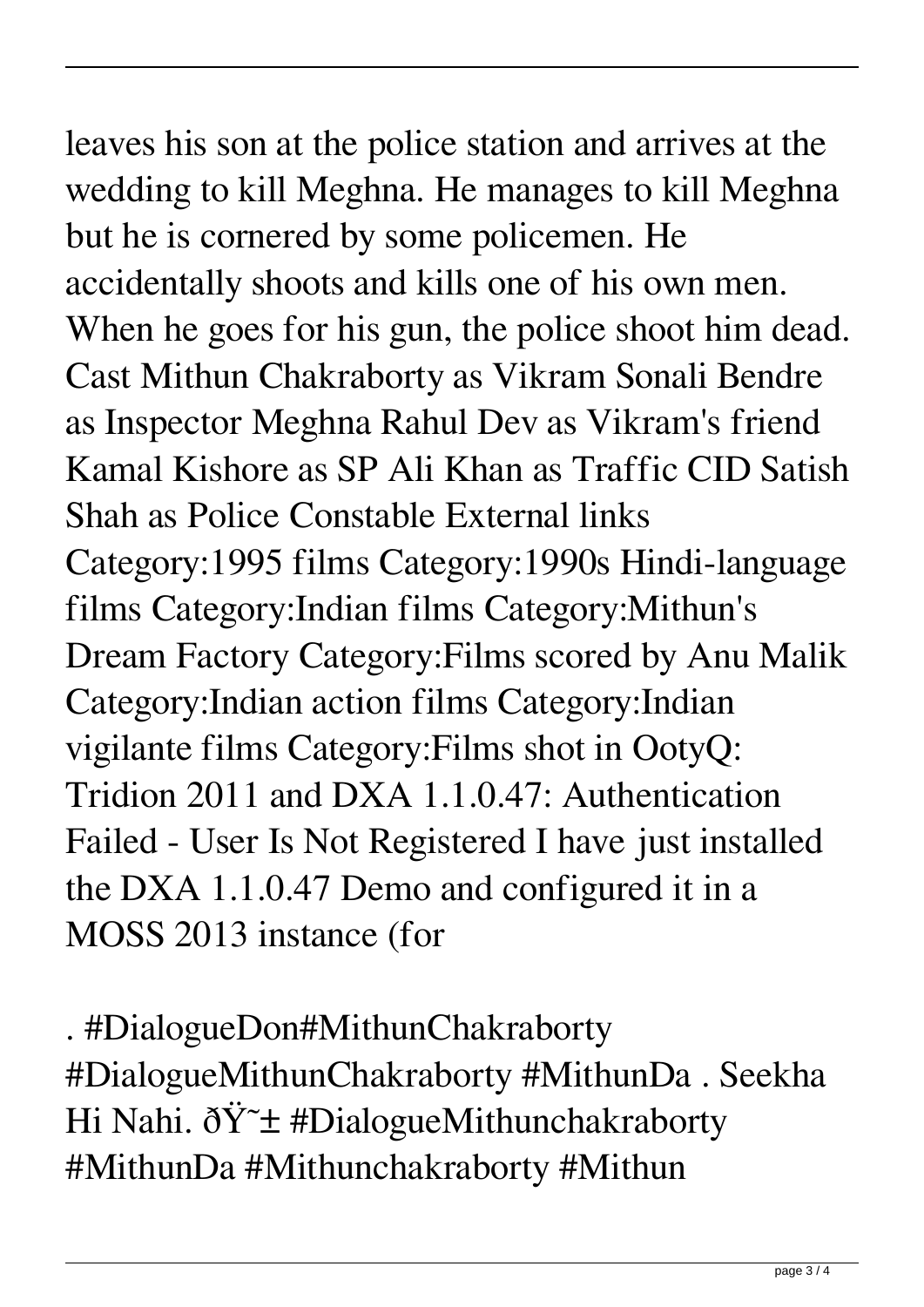leaves his son at the police station and arrives at the wedding to kill Meghna. He manages to kill Meghna but he is cornered by some policemen. He accidentally shoots and kills one of his own men. When he goes for his gun, the police shoot him dead. Cast Mithun Chakraborty as Vikram Sonali Bendre as Inspector Meghna Rahul Dev as Vikram's friend Kamal Kishore as SP Ali Khan as Traffic CID Satish Shah as Police Constable External links Category:1995 films Category:1990s Hindi-language films Category:Indian films Category:Mithun's Dream Factory Category:Films scored by Anu Malik Category:Indian action films Category:Indian vigilante films Category:Films shot in OotyQ: Tridion 2011 and DXA 1.1.0.47: Authentication Failed - User Is Not Registered I have just installed the DXA 1.1.0.47 Demo and configured it in a MOSS 2013 instance (for

. #DialogueDon#MithunChakraborty #DialogueMithunChakraborty #MithunDa . Seekha Hi Nahi.  $\delta \ddot{Y}$   $\pm$  #DialogueMithunchakraborty #MithunDa #Mithunchakraborty #Mithun